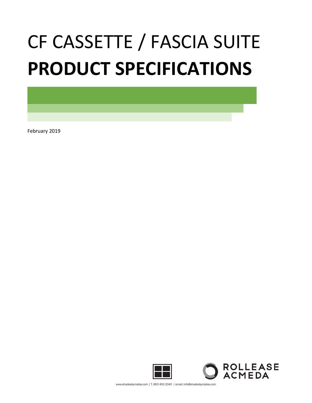# CF CASSETTE / FASCIA SUITE **PRODUCT SPECIFICATIONS**

February 2019





www.shadesbymatiss.com | T. 800 493 2040 | email: info@shadesbymatiss.com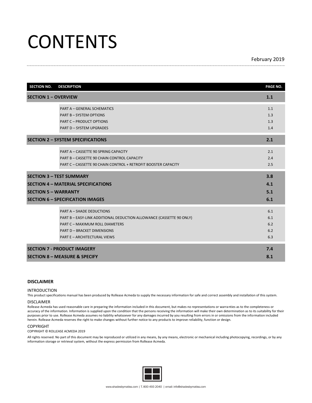## **CONTENTS**

#### February 2019

| <b>SECTION NO.</b>              | <b>DESCRIPTION</b>                                                                                                                                                                                                       | PAGE NO.                        |
|---------------------------------|--------------------------------------------------------------------------------------------------------------------------------------------------------------------------------------------------------------------------|---------------------------------|
| <b>SECTION 1 - OVERVIEW</b>     |                                                                                                                                                                                                                          | 1.1                             |
|                                 | <b>PART A - GENERAL SCHEMATICS</b><br><b>PART B - SYSTEM OPTIONS</b><br><b>PART C - PRODUCT OPTIONS</b><br><b>PART D - SYSTEM UPGRADES</b>                                                                               | 1.1<br>1.3<br>1.3<br>1.4        |
|                                 | <b>SECTION 2 - SYSTEM SPECIFICATIONS</b>                                                                                                                                                                                 | 2.1                             |
|                                 | PART A - CASSETTE 90 SPRING CAPACITY<br>PART B - CASSETTE 90 CHAIN CONTROL CAPACITY<br>PART C - CASSETTE 90 CHAIN CONTROL + RETROFIT BOOSTER CAPACITY                                                                    | 2.1<br>2.4<br>2.5               |
| <b>SECTION 3 - TEST SUMMARY</b> |                                                                                                                                                                                                                          | 3.8                             |
|                                 | <b>SECTION 4 - MATERIAL SPECIFICATIONS</b>                                                                                                                                                                               | 4.1                             |
| <b>SECTION 5 - WARRANTY</b>     |                                                                                                                                                                                                                          | 5.1                             |
|                                 | <b>SECTION 6 - SPECIFICATION IMAGES</b>                                                                                                                                                                                  | 6.1                             |
|                                 | <b>PART A - SHADE DEDUCTIONS</b><br>PART B - EASY-LINK ADDITIONAL DEDUCTION ALLOWANCE (CASSETTE 90 ONLY)<br>PART C - MAXIMUM ROLL DIAMETERS<br><b>PART D - BRACKET DIMENSIONS</b><br><b>PART E - ARCHITECTURAL VIEWS</b> | 6.1<br>6.1<br>6.2<br>6.2<br>6.3 |
|                                 | <b>SECTION 7 - PRODUCT IMAGERY</b>                                                                                                                                                                                       | 7.4                             |
|                                 | <b>SECTION 8 - MEASURE &amp; SPECIFY</b>                                                                                                                                                                                 | 8.1                             |

#### **DISCLAIMER**

#### INTRODUCTION

This product specifications manual has been produced by Rollease Acmeda to supply the necessary information for safe and correct assembly and installation of this system.

#### DISCLAIMER

Rollease Acmeda has used reasonable care in preparing the information included in this document, but makes no representations or warranties as to the completeness or accuracy of the information. Information is supplied upon the condition that the persons receiving the information will make their own determination as to its suitability for their purposes prior to use. Rollease Acmeda assumes no liability whatsoever for any damages incurred by you resulting from errors in or omissions from the information included herein. Rollease Acmeda reserves the right to make changes without further notice to any products to improve reliability, function or design.

#### COPYRIGHT

COPYRIGHT © ROLLEASE ACMEDA 2019

All rights reserved. No part of this document may be reproduced or utilized in any means, by any means, electronic or mechanical including photocopying, recordings, or by any information storage or retrieval system, without the express permission from Rollease Acmeda.

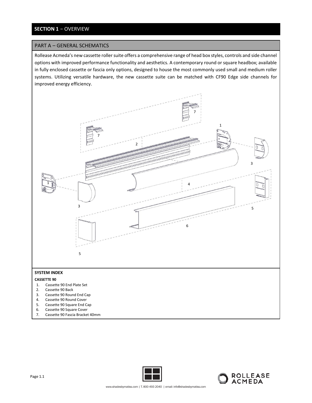## **SECTION 1** − OVERVIEW

#### PART A – GENERAL SCHEMATICS

Rollease Acmeda's new cassette roller suite offers a comprehensive range of head box styles, controls and side channel options with improved performance functionality and aesthetics. A contemporary round or square headbox; available in fully enclosed cassette or fascia only options, designed to house the most commonly used small and medium roller systems. Utilizing versatile hardware, the new cassette suite can be matched with CF90 Edge side channels for improved energy efficiency.



7. Cassette 90 Fascia Bracket 40mm



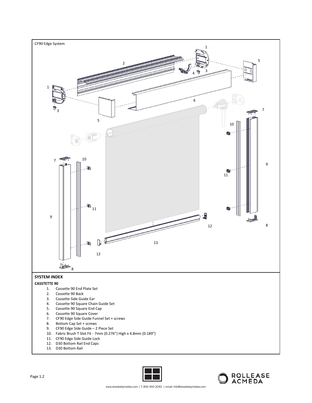

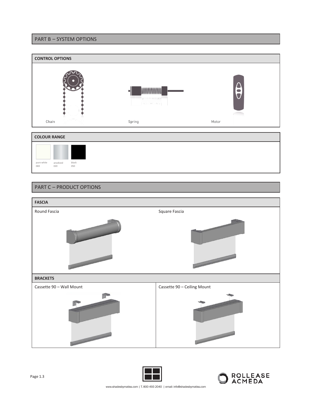## PART B – SYSTEM OPTIONS





## PART C – PRODUCT OPTIONS

| <b>FASCIA</b>            |                             |
|--------------------------|-----------------------------|
| Round Fascia             | Square Fascia               |
|                          |                             |
| <b>BRACKETS</b>          |                             |
| Cassette 90 - Wall Mount | Cassette 90 - Ceiling Mount |
|                          |                             |



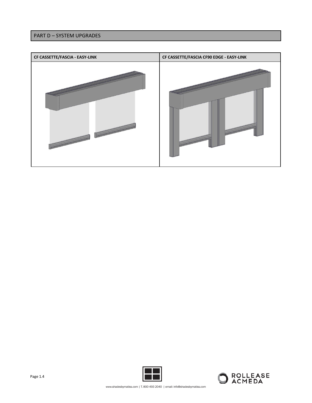## PART D – SYSTEM UPGRADES





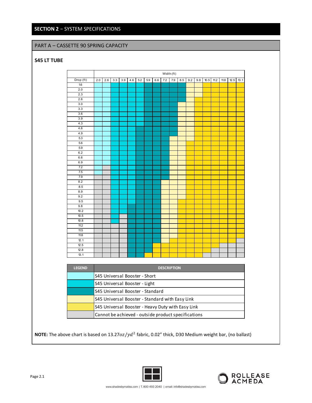## **SECTION 2** − SYSTEM SPECIFICATIONS

## PART A – CASSETTE 90 SPRING CAPACITY

#### **S45 LT TUBE**



NOTE: The above chart is based on 13.27oz/yd<sup>2</sup> fabric, 0.02" thick, D30 Medium weight bar, (no ballast)



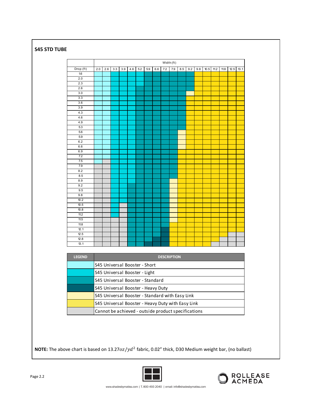## **S45 STD TUBE**

|           | Width (ft) |     |     |     |     |     |     |     |     |     |           |  |     |  |             |      |      |      |
|-----------|------------|-----|-----|-----|-----|-----|-----|-----|-----|-----|-----------|--|-----|--|-------------|------|------|------|
| Drop (ft) | $2.0\,$    | 2.6 | 3.3 | 3.9 | 4.6 | 5.2 | 5.9 | 6.6 | 7.2 | 7.9 | $8.5$ 9.2 |  | 9.8 |  | $10.5$ 11.2 | 11.8 | 12.5 | 13.1 |
| 1.6       |            |     |     |     |     |     |     |     |     |     |           |  |     |  |             |      |      |      |
| 2.0       |            |     |     |     |     |     |     |     |     |     |           |  |     |  |             |      |      |      |
| 2.3       |            |     |     |     |     |     |     |     |     |     |           |  |     |  |             |      |      |      |
| 2.6       |            |     |     |     |     |     |     |     |     |     |           |  |     |  |             |      |      |      |
| 3.0       |            |     |     |     |     |     |     |     |     |     |           |  |     |  |             |      |      |      |
| 3.3       |            |     |     |     |     |     |     |     |     |     |           |  |     |  |             |      |      |      |
| 3.6       |            |     |     |     |     |     |     |     |     |     |           |  |     |  |             |      |      |      |
| 3.9       |            |     |     |     |     |     |     |     |     |     |           |  |     |  |             |      |      |      |
| 4.3       |            |     |     |     |     |     |     |     |     |     |           |  |     |  |             |      |      |      |
| 4.6       |            |     |     |     |     |     |     |     |     |     |           |  |     |  |             |      |      |      |
| $4.9\,$   |            |     |     |     |     |     |     |     |     |     |           |  |     |  |             |      |      |      |
| 5.3       |            |     |     |     |     |     |     |     |     |     |           |  |     |  |             |      |      |      |
| 5.6       |            |     |     |     |     |     |     |     |     |     |           |  |     |  |             |      |      |      |
| 5.9       |            |     |     |     |     |     |     |     |     |     |           |  |     |  |             |      |      |      |
| 6.2       |            |     |     |     |     |     |     |     |     |     |           |  |     |  |             |      |      |      |
| 6.6       |            |     |     |     |     |     |     |     |     |     |           |  |     |  |             |      |      |      |
| 6.9       |            |     |     |     |     |     |     |     |     |     |           |  |     |  |             |      |      |      |
| 7.2       |            |     |     |     |     |     |     |     |     |     |           |  |     |  |             |      |      |      |
| 7.5       |            |     |     |     |     |     |     |     |     |     |           |  |     |  |             |      |      |      |
| 7.9       |            |     |     |     |     |     |     |     |     |     |           |  |     |  |             |      |      |      |
| 8.2       |            |     |     |     |     |     |     |     |     |     |           |  |     |  |             |      |      |      |
| 8.5       |            |     |     |     |     |     |     |     |     |     |           |  |     |  |             |      |      |      |
| 8.9       |            |     |     |     |     |     |     |     |     |     |           |  |     |  |             |      |      |      |
| 9.2       |            |     |     |     |     |     |     |     |     |     |           |  |     |  |             |      |      |      |
| 9.5       |            |     |     |     |     |     |     |     |     |     |           |  |     |  |             |      |      |      |
| 9.8       |            |     |     |     |     |     |     |     |     |     |           |  |     |  |             |      |      |      |
| 10.2      |            |     |     |     |     |     |     |     |     |     |           |  |     |  |             |      |      |      |
| 10.5      |            |     |     |     |     |     |     |     |     |     |           |  |     |  |             |      |      |      |
| 10.8      |            |     |     |     |     |     |     |     |     |     |           |  |     |  |             |      |      |      |
| 11.2      |            |     |     |     |     |     |     |     |     |     |           |  |     |  |             |      |      |      |
| 11.5      |            |     |     |     |     |     |     |     |     |     |           |  |     |  |             |      |      |      |
| 11.8      |            |     |     |     |     |     |     |     |     |     |           |  |     |  |             |      |      |      |
| 12.1      |            |     |     |     |     |     |     |     |     |     |           |  |     |  |             |      |      |      |
| 12.5      |            |     |     |     |     |     |     |     |     |     |           |  |     |  |             |      |      |      |
| 12.8      |            |     |     |     |     |     |     |     |     |     |           |  |     |  |             |      |      |      |
| 13.1      |            |     |     |     |     |     |     |     |     |     |           |  |     |  |             |      |      |      |

| <b>LEGEND</b> | <b>DESCRIPTION</b>                                  |
|---------------|-----------------------------------------------------|
|               | S45 Universal Booster - Short                       |
|               | S45 Universal Booster - Light                       |
|               | S45 Universal Booster - Standard                    |
|               | S45 Universal Booster - Heavy Duty                  |
|               | S45 Universal Booster - Standard with Easy Link     |
|               | S45 Universal Booster - Heavy Duty with Easy Link   |
|               | Cannot be achieved - outside product specifications |

NOTE: The above chart is based on 13.27oz/yd<sup>2</sup> fabric, 0.02" thick, D30 Medium weight bar, (no ballast)

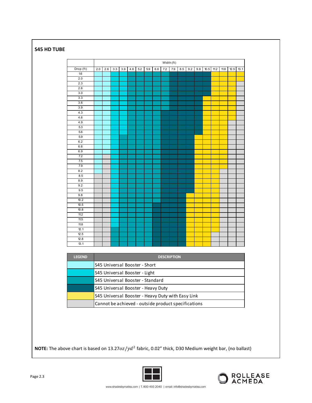## **S45 HD TUBE**

|                   | Width (ft) |     |     |     |         |     |     |     |     |     |     |     |         |  |             |      |      |      |
|-------------------|------------|-----|-----|-----|---------|-----|-----|-----|-----|-----|-----|-----|---------|--|-------------|------|------|------|
| Drop (ft)         | $2.0\,$    | 2.6 | 3.3 | 3.9 | $4.6\,$ | 5.2 | 5.9 | 6.6 | 7.2 | 7.9 | 8.5 | 9.2 | $9.8\,$ |  | $10.5$ 11.2 | 11.8 | 12.5 | 13.1 |
| 1.6               |            |     |     |     |         |     |     |     |     |     |     |     |         |  |             |      |      |      |
| 2.0               |            |     |     |     |         |     |     |     |     |     |     |     |         |  |             |      |      |      |
| 2.3               |            |     |     |     |         |     |     |     |     |     |     |     |         |  |             |      |      |      |
| 2.6               |            |     |     |     |         |     |     |     |     |     |     |     |         |  |             |      |      |      |
| 3.0               |            |     |     |     |         |     |     |     |     |     |     |     |         |  |             |      |      |      |
| 3.3               |            |     |     |     |         |     |     |     |     |     |     |     |         |  |             |      |      |      |
| 3.6               |            |     |     |     |         |     |     |     |     |     |     |     |         |  |             |      |      |      |
| 3.9               |            |     |     |     |         |     |     |     |     |     |     |     |         |  |             |      |      |      |
| 4.3               |            |     |     |     |         |     |     |     |     |     |     |     |         |  |             |      |      |      |
| 4.6               |            |     |     |     |         |     |     |     |     |     |     |     |         |  |             |      |      |      |
| 4.9               |            |     |     |     |         |     |     |     |     |     |     |     |         |  |             |      |      |      |
| 5.3               |            |     |     |     |         |     |     |     |     |     |     |     |         |  |             |      |      |      |
| 5.6               |            |     |     |     |         |     |     |     |     |     |     |     |         |  |             |      |      |      |
| 5.9               |            |     |     |     |         |     |     |     |     |     |     |     |         |  |             |      |      |      |
| 6.2               |            |     |     |     |         |     |     |     |     |     |     |     |         |  |             |      |      |      |
| 6.6               |            |     |     |     |         |     |     |     |     |     |     |     |         |  |             |      |      |      |
| 6.9               |            |     |     |     |         |     |     |     |     |     |     |     |         |  |             |      |      |      |
| 7.2               |            |     |     |     |         |     |     |     |     |     |     |     |         |  |             |      |      |      |
| 7.5               |            |     |     |     |         |     |     |     |     |     |     |     |         |  |             |      |      |      |
| 7.9               |            |     |     |     |         |     |     |     |     |     |     |     |         |  |             |      |      |      |
| 8.2               |            |     |     |     |         |     |     |     |     |     |     |     |         |  |             |      |      |      |
| 8.5               |            |     |     |     |         |     |     |     |     |     |     |     |         |  |             |      |      |      |
| 8.9               |            |     |     |     |         |     |     |     |     |     |     |     |         |  |             |      |      |      |
| 9.2               |            |     |     |     |         |     |     |     |     |     |     |     |         |  |             |      |      |      |
| 9.5               |            |     |     |     |         |     |     |     |     |     |     |     |         |  |             |      |      |      |
| 9.8               |            |     |     |     |         |     |     |     |     |     |     |     |         |  |             |      |      |      |
| 10.2              |            |     |     |     |         |     |     |     |     |     |     |     |         |  |             |      |      |      |
| 10.5              |            |     |     |     |         |     |     |     |     |     |     |     |         |  |             |      |      |      |
| 10.8              |            |     |     |     |         |     |     |     |     |     |     |     |         |  |             |      |      |      |
| 11.2              |            |     |     |     |         |     |     |     |     |     |     |     |         |  |             |      |      |      |
| $\overline{11.5}$ |            |     |     |     |         |     |     |     |     |     |     |     |         |  |             |      |      |      |
| 11.8              |            |     |     |     |         |     |     |     |     |     |     |     |         |  |             |      |      |      |
| 12.1              |            |     |     |     |         |     |     |     |     |     |     |     |         |  |             |      |      |      |
| 12.5              |            |     |     |     |         |     |     |     |     |     |     |     |         |  |             |      |      |      |
| 12.8              |            |     |     |     |         |     |     |     |     |     |     |     |         |  |             |      |      |      |
| 13.1              |            |     |     |     |         |     |     |     |     |     |     |     |         |  |             |      |      |      |

| <b>LEGEND</b> | <b>DESCRIPTION</b>                                  |
|---------------|-----------------------------------------------------|
|               | IS45 Universal Booster - Short                      |
|               | S45 Universal Booster - Light                       |
|               | S45 Universal Booster - Standard                    |
|               | S45 Universal Booster - Heavy Duty                  |
|               | S45 Universal Booster - Heavy Duty with Easy Link   |
|               | Cannot be achieved - outside product specifications |

NOTE: The above chart is based on 13.27oz/yd<sup>2</sup> fabric, 0.02" thick, D30 Medium weight bar, (no ballast)



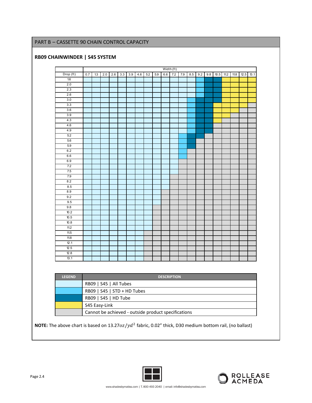## PART B – CASSETTE 90 CHAIN CONTROL CAPACITY

## **RB09 CHAINWINDER | S45 SYSTEM**

|           | Width (ft) |     |     |     |     |     |     |     |     |     |     |     |     |     |     |             |      |        |      |
|-----------|------------|-----|-----|-----|-----|-----|-----|-----|-----|-----|-----|-----|-----|-----|-----|-------------|------|--------|------|
| Drop (ft) | 0.7        | 1.3 | 2.0 | 2.6 | 3.3 | 3.9 | 4.6 | 5.2 | 5.9 | 6.6 | 7.2 | 7.9 | 8.5 | 9.2 | 9.8 | $10.5$ 11.2 | 11.8 | $12.5$ | 13.1 |
| 1.6       |            |     |     |     |     |     |     |     |     |     |     |     |     |     |     |             |      |        |      |
| 2.0       |            |     |     |     |     |     |     |     |     |     |     |     |     |     |     |             |      |        |      |
| 2.3       |            |     |     |     |     |     |     |     |     |     |     |     |     |     |     |             |      |        |      |
| 2.6       |            |     |     |     |     |     |     |     |     |     |     |     |     |     |     |             |      |        |      |
| 3.0       |            |     |     |     |     |     |     |     |     |     |     |     |     |     |     |             |      |        |      |
| 3.3       |            |     |     |     |     |     |     |     |     |     |     |     |     |     |     |             |      |        |      |
| 3.6       |            |     |     |     |     |     |     |     |     |     |     |     |     |     |     |             |      |        |      |
| 3.9       |            |     |     |     |     |     |     |     |     |     |     |     |     |     |     |             |      |        |      |
| 4.3       |            |     |     |     |     |     |     |     |     |     |     |     |     |     |     |             |      |        |      |
| 4.6       |            |     |     |     |     |     |     |     |     |     |     |     |     |     |     |             |      |        |      |
| 4.9       |            |     |     |     |     |     |     |     |     |     |     |     |     |     |     |             |      |        |      |
| 5.2       |            |     |     |     |     |     |     |     |     |     |     |     |     |     |     |             |      |        |      |
| 5.6       |            |     |     |     |     |     |     |     |     |     |     |     |     |     |     |             |      |        |      |
| 5.9       |            |     |     |     |     |     |     |     |     |     |     |     |     |     |     |             |      |        |      |
| 6.2       |            |     |     |     |     |     |     |     |     |     |     |     |     |     |     |             |      |        |      |
| 6.6       |            |     |     |     |     |     |     |     |     |     |     |     |     |     |     |             |      |        |      |
| 6.9       |            |     |     |     |     |     |     |     |     |     |     |     |     |     |     |             |      |        |      |
| 7.2       |            |     |     |     |     |     |     |     |     |     |     |     |     |     |     |             |      |        |      |
| 7.5       |            |     |     |     |     |     |     |     |     |     |     |     |     |     |     |             |      |        |      |
| 7.9       |            |     |     |     |     |     |     |     |     |     |     |     |     |     |     |             |      |        |      |
| 8.2       |            |     |     |     |     |     |     |     |     |     |     |     |     |     |     |             |      |        |      |
| 8.5       |            |     |     |     |     |     |     |     |     |     |     |     |     |     |     |             |      |        |      |
| 8.9       |            |     |     |     |     |     |     |     |     |     |     |     |     |     |     |             |      |        |      |
| 9.2       |            |     |     |     |     |     |     |     |     |     |     |     |     |     |     |             |      |        |      |
| 9.5       |            |     |     |     |     |     |     |     |     |     |     |     |     |     |     |             |      |        |      |
| 9.8       |            |     |     |     |     |     |     |     |     |     |     |     |     |     |     |             |      |        |      |
| 10.2      |            |     |     |     |     |     |     |     |     |     |     |     |     |     |     |             |      |        |      |
| 10.5      |            |     |     |     |     |     |     |     |     |     |     |     |     |     |     |             |      |        |      |
| 10.8      |            |     |     |     |     |     |     |     |     |     |     |     |     |     |     |             |      |        |      |
| 11.2      |            |     |     |     |     |     |     |     |     |     |     |     |     |     |     |             |      |        |      |
| 11.5      |            |     |     |     |     |     |     |     |     |     |     |     |     |     |     |             |      |        |      |
| 11.8      |            |     |     |     |     |     |     |     |     |     |     |     |     |     |     |             |      |        |      |
| 12.1      |            |     |     |     |     |     |     |     |     |     |     |     |     |     |     |             |      |        |      |
| 12.5      |            |     |     |     |     |     |     |     |     |     |     |     |     |     |     |             |      |        |      |
| 12.8      |            |     |     |     |     |     |     |     |     |     |     |     |     |     |     |             |      |        |      |
| 13.1      |            |     |     |     |     |     |     |     |     |     |     |     |     |     |     |             |      |        |      |

| <b>LEGEND</b> | <b>DESCRIPTION</b>                                  |
|---------------|-----------------------------------------------------|
|               | RB09   S45   All Tubes                              |
|               | RB09   S45   STD + HD Tubes                         |
|               | RB09   S45   HD Tube                                |
|               | S45 Easy-Link                                       |
|               | Cannot be achieved - outside product specifications |

**NOTE:** The above chart is based on 13.27oz/yd<sup>2</sup> fabric, 0.02" thick, D30 medium bottom rail, (no ballast)



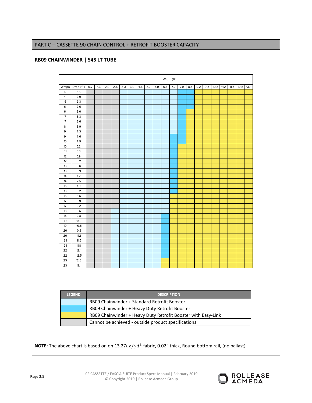## PART C – CASSETTE 90 CHAIN CONTROL + RETROFIT BOOSTER CAPACITY

## **RB09 CHAINWINDER | S45 LT TUBE**

|                  |                 | Width (ft) |     |     |     |     |     |     |     |     |     |     |     |     |     |     |      |      |      |      |      |
|------------------|-----------------|------------|-----|-----|-----|-----|-----|-----|-----|-----|-----|-----|-----|-----|-----|-----|------|------|------|------|------|
|                  | Wraps Drop (ft) | 0.7        | 1.3 | 2.0 | 2.6 | 3.3 | 3.9 | 4.6 | 5.2 | 5.9 | 6.6 | 7.2 | 7.9 | 8.5 | 9.2 | 9.8 | 10.5 | 11.2 | 11.8 | 12.5 | 13.1 |
| 4                | 1.6             |            |     |     |     |     |     |     |     |     |     |     |     |     |     |     |      |      |      |      |      |
| 4                | 2.0             |            |     |     |     |     |     |     |     |     |     |     |     |     |     |     |      |      |      |      |      |
| $\sqrt{5}$       | 2.3             |            |     |     |     |     |     |     |     |     |     |     |     |     |     |     |      |      |      |      |      |
| 6                | 2.6             |            |     |     |     |     |     |     |     |     |     |     |     |     |     |     |      |      |      |      |      |
| 6                | 3.0             |            |     |     |     |     |     |     |     |     |     |     |     |     |     |     |      |      |      |      |      |
| $\boldsymbol{7}$ | 3.3             |            |     |     |     |     |     |     |     |     |     |     |     |     |     |     |      |      |      |      |      |
| $\overline{7}$   | 3.6             |            |     |     |     |     |     |     |     |     |     |     |     |     |     |     |      |      |      |      |      |
| 8                | 3.9             |            |     |     |     |     |     |     |     |     |     |     |     |     |     |     |      |      |      |      |      |
| 9                | 4.3             |            |     |     |     |     |     |     |     |     |     |     |     |     |     |     |      |      |      |      |      |
| 9                | 4.6             |            |     |     |     |     |     |     |     |     |     |     |     |     |     |     |      |      |      |      |      |
| 10               | 4.9             |            |     |     |     |     |     |     |     |     |     |     |     |     |     |     |      |      |      |      |      |
| $10$             | 5.2             |            |     |     |     |     |     |     |     |     |     |     |     |     |     |     |      |      |      |      |      |
| 11               | 5.6             |            |     |     |     |     |     |     |     |     |     |     |     |     |     |     |      |      |      |      |      |
| 12               | 5.9             |            |     |     |     |     |     |     |     |     |     |     |     |     |     |     |      |      |      |      |      |
| 12               | 6.2             |            |     |     |     |     |     |     |     |     |     |     |     |     |     |     |      |      |      |      |      |
| 13               | 6.6             |            |     |     |     |     |     |     |     |     |     |     |     |     |     |     |      |      |      |      |      |
| 13               | 6.9             |            |     |     |     |     |     |     |     |     |     |     |     |     |     |     |      |      |      |      |      |
| 14               | 7.2             |            |     |     |     |     |     |     |     |     |     |     |     |     |     |     |      |      |      |      |      |
| 14               | 7.5             |            |     |     |     |     |     |     |     |     |     |     |     |     |     |     |      |      |      |      |      |
| 15               | 7.9             |            |     |     |     |     |     |     |     |     |     |     |     |     |     |     |      |      |      |      |      |
| 16               | 8.2             |            |     |     |     |     |     |     |     |     |     |     |     |     |     |     |      |      |      |      |      |
| 16               | 8.5             |            |     |     |     |     |     |     |     |     |     |     |     |     |     |     |      |      |      |      |      |
| $17\,$           | 8.9             |            |     |     |     |     |     |     |     |     |     |     |     |     |     |     |      |      |      |      |      |
| $17\,$           | 9.2             |            |     |     |     |     |     |     |     |     |     |     |     |     |     |     |      |      |      |      |      |
| 18               | 9.5             |            |     |     |     |     |     |     |     |     |     |     |     |     |     |     |      |      |      |      |      |
| 18               | 9.8             |            |     |     |     |     |     |     |     |     |     |     |     |     |     |     |      |      |      |      |      |
| 19               | 10.2            |            |     |     |     |     |     |     |     |     |     |     |     |     |     |     |      |      |      |      |      |
| 19               | 10.5            |            |     |     |     |     |     |     |     |     |     |     |     |     |     |     |      |      |      |      |      |
| 20               | 10.8            |            |     |     |     |     |     |     |     |     |     |     |     |     |     |     |      |      |      |      |      |
| 20               | 11.2            |            |     |     |     |     |     |     |     |     |     |     |     |     |     |     |      |      |      |      |      |
| 21               | 11.5            |            |     |     |     |     |     |     |     |     |     |     |     |     |     |     |      |      |      |      |      |
| 21               | 11.8            |            |     |     |     |     |     |     |     |     |     |     |     |     |     |     |      |      |      |      |      |
| 22               | 12.1            |            |     |     |     |     |     |     |     |     |     |     |     |     |     |     |      |      |      |      |      |
| 22               | 12.5            |            |     |     |     |     |     |     |     |     |     |     |     |     |     |     |      |      |      |      |      |
| 23               | 12.8            |            |     |     |     |     |     |     |     |     |     |     |     |     |     |     |      |      |      |      |      |
| 23               | 13.1            |            |     |     |     |     |     |     |     |     |     |     |     |     |     |     |      |      |      |      |      |

| <b>LEGEND</b> | <b>DESCRIPTION</b>                                            |
|---------------|---------------------------------------------------------------|
|               | RB09 Chainwinder + Standard Retrofit Booster                  |
|               | RB09 Chainwinder + Heavy Duty Retrofit Booster                |
|               | RB09 Chainwinder + Heavy Duty Retrofit Booster with Easy-Link |
|               | Cannot be achieved - outside product specifications           |

**NOTE:** The above chart is based on on 13.27oz/yd<sup>2</sup> fabric, 0.02" thick, Round bottom rail, (no ballast)

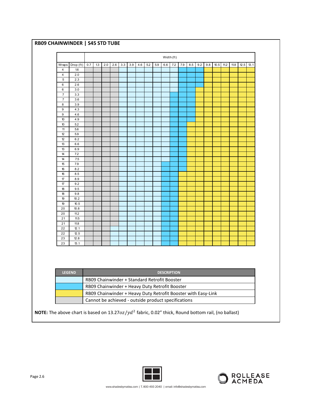## **RB09 CHAINWINDER | S45 STD TUBE**

|                         |                 | Width (ft) |     |     |     |     |     |     |     |     |     |     |         |         |     |         |      |        |      |      |      |
|-------------------------|-----------------|------------|-----|-----|-----|-----|-----|-----|-----|-----|-----|-----|---------|---------|-----|---------|------|--------|------|------|------|
|                         | Wraps Drop (ft) | 0.7        | 1.3 | 2.0 | 2.6 | 3.3 | 3.9 | 4.6 | 5.2 | 5.9 | 6.6 | 7.2 | $7.9\,$ | $8.5\,$ | 9.2 | $9.8\,$ | 10.5 | $11.2$ | 11.8 | 12.5 | 13.1 |
| $\overline{\mathbf{4}}$ | 1.6             |            |     |     |     |     |     |     |     |     |     |     |         |         |     |         |      |        |      |      |      |
| $\overline{4}$          | 2.0             |            |     |     |     |     |     |     |     |     |     |     |         |         |     |         |      |        |      |      |      |
| $\,$ 5 $\,$             | 2.3             |            |     |     |     |     |     |     |     |     |     |     |         |         |     |         |      |        |      |      |      |
| 6                       | 2.6             |            |     |     |     |     |     |     |     |     |     |     |         |         |     |         |      |        |      |      |      |
| 6                       | 3.0             |            |     |     |     |     |     |     |     |     |     |     |         |         |     |         |      |        |      |      |      |
| $\overline{7}$          | 3.3             |            |     |     |     |     |     |     |     |     |     |     |         |         |     |         |      |        |      |      |      |
| $\overline{7}$          | 3.6             |            |     |     |     |     |     |     |     |     |     |     |         |         |     |         |      |        |      |      |      |
| 8                       | 3.9             |            |     |     |     |     |     |     |     |     |     |     |         |         |     |         |      |        |      |      |      |
| 9                       | 4.3             |            |     |     |     |     |     |     |     |     |     |     |         |         |     |         |      |        |      |      |      |
| $\boldsymbol{9}$        | 4.6             |            |     |     |     |     |     |     |     |     |     |     |         |         |     |         |      |        |      |      |      |
| $10$                    | 4.9             |            |     |     |     |     |     |     |     |     |     |     |         |         |     |         |      |        |      |      |      |
| 10                      | 5.2             |            |     |     |     |     |     |     |     |     |     |     |         |         |     |         |      |        |      |      |      |
| 11                      | 5.6             |            |     |     |     |     |     |     |     |     |     |     |         |         |     |         |      |        |      |      |      |
| 12                      | 5.9             |            |     |     |     |     |     |     |     |     |     |     |         |         |     |         |      |        |      |      |      |
| 12                      | 6.2             |            |     |     |     |     |     |     |     |     |     |     |         |         |     |         |      |        |      |      |      |
| 13                      | 6.6             |            |     |     |     |     |     |     |     |     |     |     |         |         |     |         |      |        |      |      |      |
| 13                      | 6.9             |            |     |     |     |     |     |     |     |     |     |     |         |         |     |         |      |        |      |      |      |
| 14                      | 7.2             |            |     |     |     |     |     |     |     |     |     |     |         |         |     |         |      |        |      |      |      |
| 14                      | 7.5             |            |     |     |     |     |     |     |     |     |     |     |         |         |     |         |      |        |      |      |      |
| 15                      | 7.9             |            |     |     |     |     |     |     |     |     |     |     |         |         |     |         |      |        |      |      |      |
| 16                      | 8.2             |            |     |     |     |     |     |     |     |     |     |     |         |         |     |         |      |        |      |      |      |
| $16\,$                  | 8.5             |            |     |     |     |     |     |     |     |     |     |     |         |         |     |         |      |        |      |      |      |
| 17                      | 8.9             |            |     |     |     |     |     |     |     |     |     |     |         |         |     |         |      |        |      |      |      |
| 17                      | 9.2             |            |     |     |     |     |     |     |     |     |     |     |         |         |     |         |      |        |      |      |      |
| 18                      | 9.5             |            |     |     |     |     |     |     |     |     |     |     |         |         |     |         |      |        |      |      |      |
| 18                      | 9.8             |            |     |     |     |     |     |     |     |     |     |     |         |         |     |         |      |        |      |      |      |
| 19                      | 10.2            |            |     |     |     |     |     |     |     |     |     |     |         |         |     |         |      |        |      |      |      |
| 19                      | $10.5$          |            |     |     |     |     |     |     |     |     |     |     |         |         |     |         |      |        |      |      |      |
| 20                      | 10.8            |            |     |     |     |     |     |     |     |     |     |     |         |         |     |         |      |        |      |      |      |
| 20                      | 11.2            |            |     |     |     |     |     |     |     |     |     |     |         |         |     |         |      |        |      |      |      |
| 21                      | 11.5            |            |     |     |     |     |     |     |     |     |     |     |         |         |     |         |      |        |      |      |      |
| 21                      | 11.8            |            |     |     |     |     |     |     |     |     |     |     |         |         |     |         |      |        |      |      |      |
| 22                      | 12.1            |            |     |     |     |     |     |     |     |     |     |     |         |         |     |         |      |        |      |      |      |
| 22                      | 12.5            |            |     |     |     |     |     |     |     |     |     |     |         |         |     |         |      |        |      |      |      |
| 23                      | 12.8            |            |     |     |     |     |     |     |     |     |     |     |         |         |     |         |      |        |      |      |      |
| 23                      | 13.1            |            |     |     |     |     |     |     |     |     |     |     |         |         |     |         |      |        |      |      |      |

| <b>LEGEND</b> | <b>DESCRIPTION</b>                                            |
|---------------|---------------------------------------------------------------|
|               | RB09 Chainwinder + Standard Retrofit Booster                  |
|               | RB09 Chainwinder + Heavy Duty Retrofit Booster                |
|               | RB09 Chainwinder + Heavy Duty Retrofit Booster with Easy-Link |
|               | Cannot be achieved - outside product specifications           |

NOTE: The above chart is based on 13.27oz/yd<sup>2</sup> fabric, 0.02" thick, Round bottom rail, (no ballast)



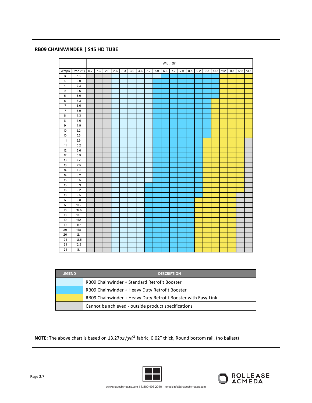## **RB09 CHAINWINDER | S45 HD TUBE**

|                  |                 | Width (ft) |     |     |     |     |     |     |     |     |     |         |     |     |     |     |        |      |      |      |      |
|------------------|-----------------|------------|-----|-----|-----|-----|-----|-----|-----|-----|-----|---------|-----|-----|-----|-----|--------|------|------|------|------|
|                  | Wraps Drop (ft) | $0.7\,$    | 1.3 | 2.0 | 2.6 | 3.3 | 3.9 | 4.6 | 5.2 | 5.9 | 6.6 | $7.2\,$ | 7.9 | 8.5 | 9.2 | 9.8 | $10.5$ | 11.2 | 11.8 | 12.5 | 13.1 |
| $\mathsf 3$      | $1.6\,$         |            |     |     |     |     |     |     |     |     |     |         |     |     |     |     |        |      |      |      |      |
| 4                | 2.0             |            |     |     |     |     |     |     |     |     |     |         |     |     |     |     |        |      |      |      |      |
| 4                | 2.3             |            |     |     |     |     |     |     |     |     |     |         |     |     |     |     |        |      |      |      |      |
| 5                | 2.6             |            |     |     |     |     |     |     |     |     |     |         |     |     |     |     |        |      |      |      |      |
| 6                | 3.0             |            |     |     |     |     |     |     |     |     |     |         |     |     |     |     |        |      |      |      |      |
| $\,6\,$          | 3.3             |            |     |     |     |     |     |     |     |     |     |         |     |     |     |     |        |      |      |      |      |
| $\overline{7}$   | 3.6             |            |     |     |     |     |     |     |     |     |     |         |     |     |     |     |        |      |      |      |      |
| $\overline{7}$   | 3.9             |            |     |     |     |     |     |     |     |     |     |         |     |     |     |     |        |      |      |      |      |
| 8                | 4.3             |            |     |     |     |     |     |     |     |     |     |         |     |     |     |     |        |      |      |      |      |
| $\bf 8$          | 4.6             |            |     |     |     |     |     |     |     |     |     |         |     |     |     |     |        |      |      |      |      |
| $\boldsymbol{9}$ | 4.9             |            |     |     |     |     |     |     |     |     |     |         |     |     |     |     |        |      |      |      |      |
| $10$             | 5.2             |            |     |     |     |     |     |     |     |     |     |         |     |     |     |     |        |      |      |      |      |
| 10               | 5.6             |            |     |     |     |     |     |     |     |     |     |         |     |     |     |     |        |      |      |      |      |
| 11               | 5.9             |            |     |     |     |     |     |     |     |     |     |         |     |     |     |     |        |      |      |      |      |
| 11               | 6.2             |            |     |     |     |     |     |     |     |     |     |         |     |     |     |     |        |      |      |      |      |
| 12               | 6.6             |            |     |     |     |     |     |     |     |     |     |         |     |     |     |     |        |      |      |      |      |
| $12\,$           | 6.9             |            |     |     |     |     |     |     |     |     |     |         |     |     |     |     |        |      |      |      |      |
| 13               | 7.2             |            |     |     |     |     |     |     |     |     |     |         |     |     |     |     |        |      |      |      |      |
| 13               | 7.5             |            |     |     |     |     |     |     |     |     |     |         |     |     |     |     |        |      |      |      |      |
| 14               | 7.9             |            |     |     |     |     |     |     |     |     |     |         |     |     |     |     |        |      |      |      |      |
| 14               | 8.2             |            |     |     |     |     |     |     |     |     |     |         |     |     |     |     |        |      |      |      |      |
| 15               | 8.5             |            |     |     |     |     |     |     |     |     |     |         |     |     |     |     |        |      |      |      |      |
| 15               | 8.9             |            |     |     |     |     |     |     |     |     |     |         |     |     |     |     |        |      |      |      |      |
| 16               | 9.2             |            |     |     |     |     |     |     |     |     |     |         |     |     |     |     |        |      |      |      |      |
| 16               | 9.5             |            |     |     |     |     |     |     |     |     |     |         |     |     |     |     |        |      |      |      |      |
| 17               | 9.8             |            |     |     |     |     |     |     |     |     |     |         |     |     |     |     |        |      |      |      |      |
| 17               | 10.2            |            |     |     |     |     |     |     |     |     |     |         |     |     |     |     |        |      |      |      |      |
| 18               | 10.5            |            |     |     |     |     |     |     |     |     |     |         |     |     |     |     |        |      |      |      |      |
| 18               | 10.8            |            |     |     |     |     |     |     |     |     |     |         |     |     |     |     |        |      |      |      |      |
| 19               | 11.2            |            |     |     |     |     |     |     |     |     |     |         |     |     |     |     |        |      |      |      |      |
| 19               | 11.5            |            |     |     |     |     |     |     |     |     |     |         |     |     |     |     |        |      |      |      |      |
| 20               | 11.8            |            |     |     |     |     |     |     |     |     |     |         |     |     |     |     |        |      |      |      |      |
| 20               | 12.1            |            |     |     |     |     |     |     |     |     |     |         |     |     |     |     |        |      |      |      |      |
| 21               | 12.5            |            |     |     |     |     |     |     |     |     |     |         |     |     |     |     |        |      |      |      |      |
| 21               | 12.8            |            |     |     |     |     |     |     |     |     |     |         |     |     |     |     |        |      |      |      |      |
| 21               | 13.1            |            |     |     |     |     |     |     |     |     |     |         |     |     |     |     |        |      |      |      |      |

| <b>LEGEND</b> | <b>DESCRIPTION</b>                                            |  |
|---------------|---------------------------------------------------------------|--|
|               | RB09 Chainwinder + Standard Retrofit Booster                  |  |
|               | RB09 Chainwinder + Heavy Duty Retrofit Booster                |  |
|               | RB09 Chainwinder + Heavy Duty Retrofit Booster with Easy-Link |  |
|               | Cannot be achieved - outside product specifications           |  |

**NOTE:** The above chart is based on 13.27oz/yd<sup>2</sup> fabric, 0.02" thick, Round bottom rail, (no ballast)



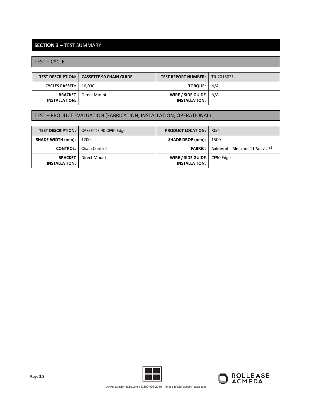## **SECTION 3** – TEST SUMMARY

TEST – CYCLE

|                                        | <b>TEST DESCRIPTION: 1 CASSETTE 90 CHAIN GUIDE</b> | <b>TEST REPORT NUMBER:</b>                  | TR-2015021 |
|----------------------------------------|----------------------------------------------------|---------------------------------------------|------------|
| <b>CYCLES PASSED:</b>                  | 10.000                                             | <b>TORQUE: I</b>                            | N/A        |
| <b>BRACKET</b><br><b>INSTALLATION:</b> | Direct Mount                                       | WIRE / SIDE GUIDE  <br><b>INSTALLATION:</b> | N/A        |

## TEST – PRODUCT EVALUATION (FABRICATION, INSTALLATION, OPERATIONAL)

| <b>TEST DESCRIPTION:</b>               | CASSETTE 90 CF90 Edge | <b>PRODUCT LOCATION:</b>                  | R&T                                |
|----------------------------------------|-----------------------|-------------------------------------------|------------------------------------|
| <b>SHADE WIDTH (mm):  </b>             | 1200                  | <b>SHADE DROP (mm):</b>                   | 1500                               |
| <b>CONTROL:</b>                        | <b>Chain Control</b>  | <b>FABRIC:</b>                            | Balmoral – Blockout 11.5oz/ $yd^2$ |
| <b>BRACKET</b><br><b>INSTALLATION:</b> | Direct Mount          | WIRE / SIDE GUIDE<br><b>INSTALLATION:</b> | CF90 Edge                          |



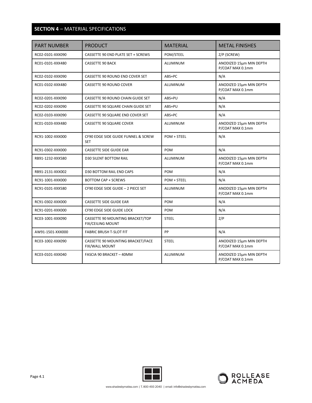## **SECTION 4** – MATERIAL SPECIFICATIONS

| <b>PART NUMBER</b> | <b>PRODUCT</b>                                               | <b>MATERIAL</b> | <b>METAL FINISHES</b>                       |
|--------------------|--------------------------------------------------------------|-----------------|---------------------------------------------|
| RC02-0101-XXX090   | CASSETTE 90 END PLATE SET + SCREWS                           | POM/STEEL       | Z/P (SCREW)                                 |
| RC01-0101-XXX480   | <b>CASSETTE 90 BACK</b>                                      | ALUMINUM        | ANODIZED 15um MIN DEPTH<br>P/COAT MAX 0.1mm |
| RC02-0102-XXX090   | CASSETTE 90 ROUND END COVER SET                              | ABS+PC          | N/A                                         |
| RC01-0102-XXX480   | <b>CASSETTE 90 ROUND COVER</b>                               | ALUMINUM        | ANODIZED 15µm MIN DEPTH<br>P/COAT MAX 0.1mm |
| RC02-0201-XXX090   | CASSETTE 90 ROUND CHAIN GUIDE SET                            | ABS+PU          | N/A                                         |
| RC02-0202-XXX090   | CASSETTE 90 SQUARE CHAIN GUIDE SET                           | ABS+PU          | N/A                                         |
| RC02-0103-XXX090   | CASSETTE 90 SQUARE END COVER SET                             | ABS+PC          | N/A                                         |
| RC01-0103-XXX480   | <b>CASSETTE 90 SQUARE COVER</b>                              | ALUMINUM        | ANODIZED 15µm MIN DEPTH<br>P/COAT MAX 0.1mm |
| RC91-1002-XXX000   | CF90 EDGE SIDE GUIDE FUNNEL & SCREW<br><b>SET</b>            | POM + STEEL     | N/A                                         |
| RC91-0302-XXX000   | <b>CASSETTE SIDE GUIDE EAR</b>                               | POM             | N/A                                         |
| RB91-1232-XXX580   | <b>D30 SILENT BOTTOM RAIL</b>                                | <b>ALUMINUM</b> | ANODIZED 15µm MIN DEPTH<br>P/COAT MAX 0.1mm |
| RB91-2131-XXX002   | D30 BOTTOM RAIL END CAPS                                     | POM             | N/A                                         |
| RC91-1001-XXX000   | <b>BOTTOM CAP + SCREWS</b>                                   | POM + STEEL     | N/A                                         |
| RC91-0101-XXX580   | CF90 EDGE SIDE GUIDE - 2 PIECE SET                           | <b>ALUMINUM</b> | ANODIZED 15µm MIN DEPTH<br>P/COAT MAX 0.1mm |
| RC91-0302-XXX000   | <b>CASSETTE SIDE GUIDE EAR</b>                               | POM             | N/A                                         |
| RC91-0201-XXX000   | CF90 EDGE SIDE GUIDE LOCK                                    | POM             | N/A                                         |
| RC03-1001-XXX090   | CASSETTE 90 MOUNTING BRACKET/TOP<br><b>FIX/CEILING MOUNT</b> | <b>STEEL</b>    | Z/P                                         |
| AW91-1501-XXX000   | <b>FABRIC BRUSH T-SLOT FIT</b>                               | PP              | N/A                                         |
| RC03-1002-XXX090   | CASSETTE 90 MOUNTING BRACKET/FACE<br>FIX/WALL MOUNT          | <b>STEEL</b>    | ANODIZED 15µm MIN DEPTH<br>P/COAT MAX 0.1mm |
| RC03-0101-XXX040   | FASCIA 90 BRACKET - 40MM                                     | <b>ALUMINUM</b> | ANODIZED 15µm MIN DEPTH<br>P/COAT MAX 0.1mm |



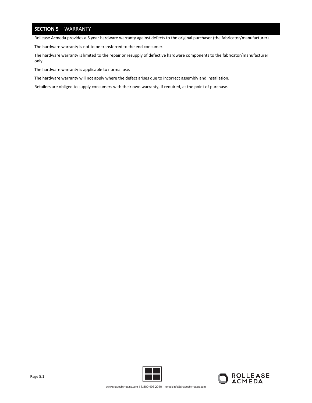## **SECTION 5** – WARRANTY

Rollease Acmeda provides a 5 year hardware warranty against defects to the original purchaser (the fabricator/manufacturer).

The hardware warranty is not to be transferred to the end consumer.

The hardware warranty is limited to the repair or resupply of defective hardware components to the fabricator/manufacturer only.

The hardware warranty is applicable to normal use.

The hardware warranty will not apply where the defect arises due to incorrect assembly and installation.

Retailers are obliged to supply consumers with their own warranty, if required, at the point of purchase.



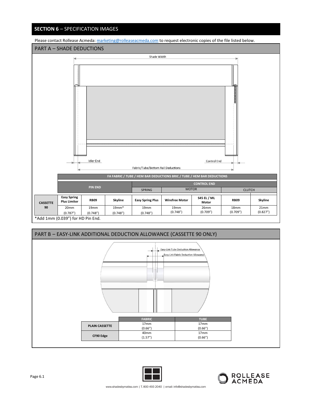## **SECTION 6** – SPECIFICATION IMAGES

Please contact Rollease Acmeda: marketing@rolleaseacmeda.com to request electronic copies of the file listed below.

#### PART A – SHADE DEDUCTIONS







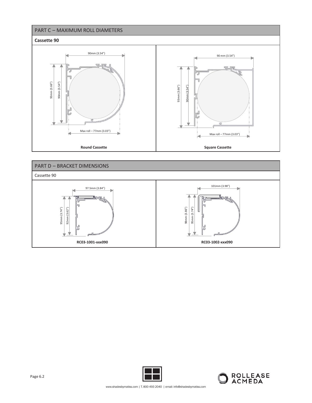## PART C – MAXIMUM ROLL DIAMETERS

## **Cassette 90**







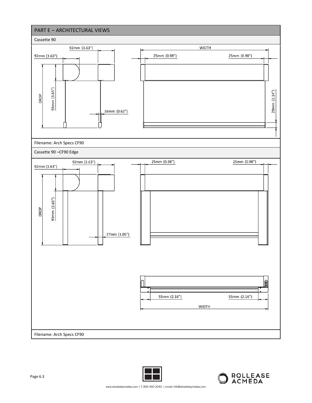



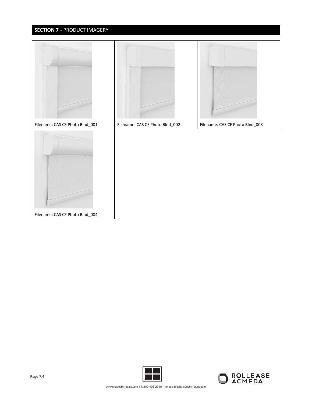## **SECTION 7** - PRODUCT IMAGERY





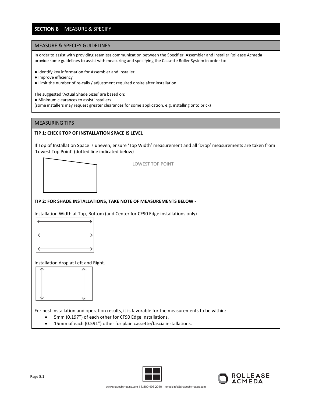## **SECTION 8** – MEASURE & SPECIFY

#### MEASURE & SPECIFY GUIDELINES

In order to assist with providing seamless communication between the Specifier, Assembler and Installer Rollease Acmeda provide some guidelines to assist with measuring and specifying the Cassette Roller System in order to:

- Identify key information for Assembler and Installer
- Improve efficiency
- Limit the number of re-calls / adjustment required onsite after installation

The suggested 'Actual Shade Sizes' are based on:

● Minimum clearances to assist installers

(some installers may request greater clearances for some application, e.g. installing onto brick)

#### MEASURING TIPS

#### **TIP 1: CHECK TOP OF INSTALLATION SPACE IS LEVEL**

If Top of Installation Space is uneven, ensure 'Top Width' measurement and all 'Drop' measurements are taken from 'Lowest Top Point' (dotted line indicated below)

LOWEST TOP POINT



#### **TIP 2: FOR SHADE INSTALLATIONS, TAKE NOTE OF MEASUREMENTS BELOW -**

Installation Width at Top, Bottom (and Center for CF90 Edge installations only)



Installation drop at Left and Right.



For best installation and operation results, it is favorable for the measurements to be within:

- 5mm (0.197") of each other for CF90 Edge Installations.
- 15mm of each (0.591") other for plain cassette/fascia installations.



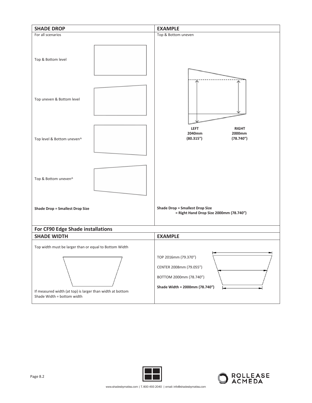



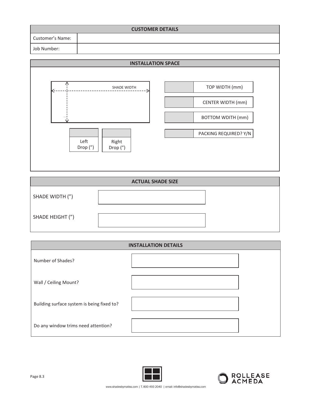| <b>CUSTOMER DETAILS</b> |  |  |  |  |  |
|-------------------------|--|--|--|--|--|
| Customer's Name:        |  |  |  |  |  |
| Job Number:             |  |  |  |  |  |



## **ACTUAL SHADE SIZE** SHADE WIDTH (") SHADE HEIGHT (")

| <b>INSTALLATION DETAILS</b>                |  |  |  |  |  |
|--------------------------------------------|--|--|--|--|--|
| Number of Shades?                          |  |  |  |  |  |
| Wall / Ceiling Mount?                      |  |  |  |  |  |
| Building surface system is being fixed to? |  |  |  |  |  |
| Do any window trims need attention?        |  |  |  |  |  |